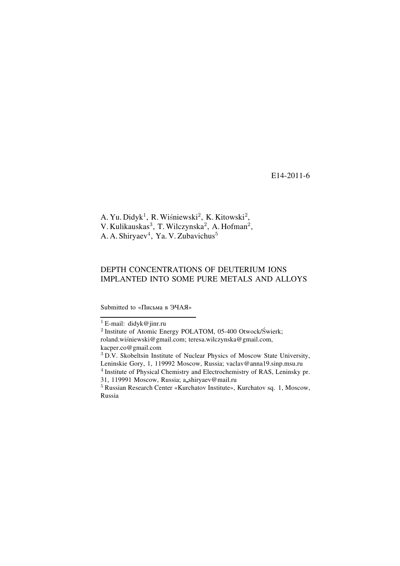E14-2011-6

A. Yu. Didyk<sup>1</sup>, R. Wiśniewski<sup>2</sup>, K. Kitowski<sup>2</sup>, V. Kulikauskas<sup>3</sup>, T. Wilczynska<sup>2</sup>, A. Hofman<sup>2</sup>, A. A. Shiryaev<sup>4</sup>, Ya. V. Zubavichus<sup>5</sup>

# DEPTH CONCENTRATIONS OF DEUTERIUM IONS IMPLANTED INTO SOME PURE METALS AND ALLOYS

Submitted to «Письма в ЭЧАЯ»

<sup>&</sup>lt;sup>1</sup> E-mail: didyk@jinr.ru

<sup>&</sup>lt;sup>2</sup> Institute of Atomic Energy POLATOM, 05-400 Otwock/Świerk; roland.wiśniewski@gmail.com; teresa.wilczynska@gmail.com, kacper.co@gmail.com

<sup>3</sup> D.V. Skobeltsin Institute of Nuclear Physics of Moscow State University, Leninskie Gory, 1, 119992 Moscow, Russia; vaclav@anna19.sinp.msu.ru

<sup>4</sup> Institute of Physical Chemistry and Electrochemistry of RAS, Leninsky pr. 31, 119991 Moscow, Russia; a shiryaev@mail.ru

<sup>&</sup>lt;sup>5</sup> Russian Research Center «Kurchatov Institute», Kurchatov sq. 1, Moscow, Russia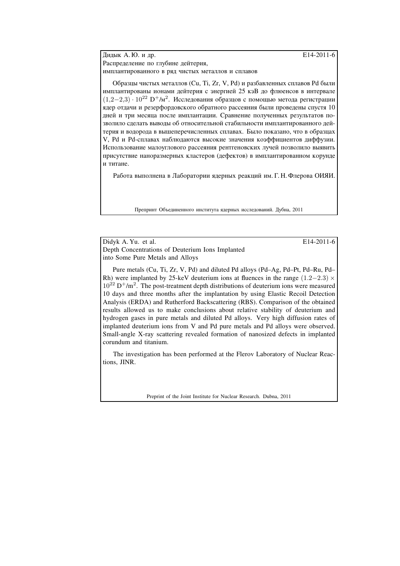Дидык А.Ю. и др. **E14-2011-6** Распределение по глубине дейтерия, имплантированного в ряд чистых металлов и сплавов

Образцы чистых металлов (Cu, Ti, Zr, V, Pd) и разбавленных сплавов Pd были имплантированы ионами дейтерия с энергией 25 кэВ до флюенсов в интервале (1,2−2,3) · 10<sup>22</sup> D<sup>+</sup>/м<sup>2</sup>. Исследования образцов с помощью метода регистрации ядер отдачи и резерфордовского обратного рассеяния были проведены спустя 10 лней и три месяца после имплантации. Сравнение полученных результатов позволило сделать выводы об относительной стабильности имплантированного дейтерия и водорода в вышеперечисленных сплавах. Было показано, что в образцах V, Pd и Pd-сплавах наблюдаются высокие значения коэффициентов диффузии. Использование малоуглового рассеяния рентгеновских лучей позволило выявить присутствие наноразмерных кластеров (дефектов) в имплантированном корунде и титане.

Работа выполнена в Лаборатории ядерных реакций им. Г. Н. Флерова ОИЯИ.

Препринт Объединенного института ядерных исследований. Дубна, 2011

Didyk A. Yu. et al. E14-2011-6

Depth Concentrations of Deuterium Ions Implanted into Some Pure Metals and Alloys

Pure metals (Cu, Ti, Zr, V, Pd) and diluted Pd alloys (Pd–Ag, Pd–Pt, Pd–Ru, Pd– Rh) were implanted by 25-keV deuterium ions at fluences in the range  $(1.2-2.3) \times$  $10^{22}$  D<sup>+</sup>/m<sup>2</sup>. The post-treatment depth distributions of deuterium ions were measured 10 days and three months after the implantation by using Elastic Recoil Detection Analysis (ERDA) and Rutherford Backscattering (RBS). Comparison of the obtained results allowed us to make conclusions about relative stability of deuterium and hydrogen gases in pure metals and diluted Pd alloys. Very high diffusion rates of implanted deuterium ions from V and Pd pure metals and Pd alloys were observed. Small-angle X-ray scattering revealed formation of nanosized defects in implanted corundum and titanium.

The investigation has been performed at the Flerov Laboratory of Nuclear Reactions, JINR.

Preprint of the Joint Institute for Nuclear Research. Dubna, 2011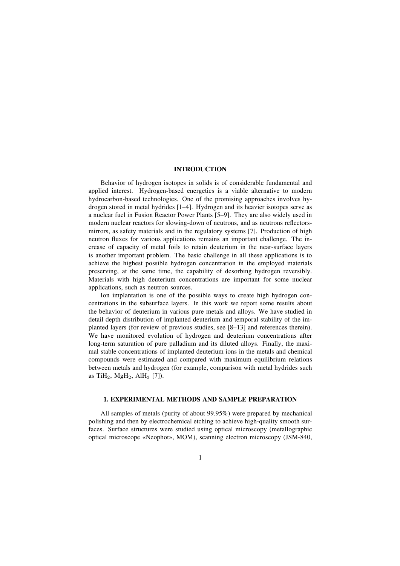# **INTRODUCTION**

Behavior of hydrogen isotopes in solids is of considerable fundamental and applied interest. Hydrogen-based energetics is a viable alternative to modern hydrocarbon-based technologies. One of the promising approaches involves hydrogen stored in metal hydrides  $[1-4]$ . Hydrogen and its heavier isotopes serve as a nuclear fuel in Fusion Reactor Power Plants [5–9]. They are also widely used in modern nuclear reactors for slowing-down of neutrons, and as neutrons reflectorsmirrors, as safety materials and in the regulatory systems [7]. Production of high neutron fluxes for various applications remains an important challenge. The increase of capacity of metal foils to retain deuterium in the near-surface layers is another important problem. The basic challenge in all these applications is to achieve the highest possible hydrogen concentration in the employed materials preserving, at the same time, the capability of desorbing hydrogen reversibly. Materials with high deuterium concentrations are important for some nuclear applications, such as neutron sources.

Ion implantation is one of the possible ways to create high hydrogen concentrations in the subsurface layers. In this work we report some results about the behavior of deuterium in various pure metals and alloys. We have studied in detail depth distribution of implanted deuterium and temporal stability of the implanted layers (for review of previous studies, see  $[8-13]$  and references therein). We have monitored evolution of hydrogen and deuterium concentrations after long-term saturation of pure palladium and its diluted alloys. Finally, the maximal stable concentrations of implanted deuterium ions in the metals and chemical compounds were estimated and compared with maximum equilibrium relations between metals and hydrogen (for example, comparison with metal hydrides such as TiH<sub>2</sub>, MgH<sub>2</sub>, AlH<sub>3</sub> [7]).

### **1. EXPERIMENTAL METHODS AND SAMPLE PREPARATION**

All samples of metals (purity of about 99.95%) were prepared by mechanical polishing and then by electrochemical etching to achieve high-quality smooth surfaces. Surface structures were studied using optical microscopy (metallographic optical microscope «Neophot», MOM), scanning electron microscopy (JSM-840,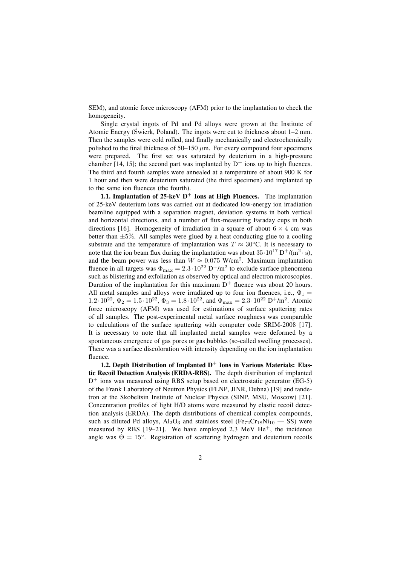SEM), and atomic force microscopy (AFM) prior to the implantation to check the homogeneity.

Single crystal ingots of Pd and Pd alloys were grown at the Institute of Atomic Energy (Swierk, Poland). The ingots were cut to thickness about  $1-2$  mm. Then the samples were cold rolled, and finally mechanically and electrochemically polished to the final thickness of  $50-150 \mu m$ . For every compound four specimens were prepared. The first set was saturated by deuterium in a high-pressure chamber [14, 15]; the second part was implanted by  $D^+$  ions up to high fluences. The third and fourth samples were annealed at a temperature of about 900 K for 1 hour and then were deuterium saturated (the third specimen) and implanted up to the same ion fluences (the fourth).

**1.1. Implantation of 25-keV**  $D^+$  **Ions at High Fluences.** The implantation of 25-keV deuterium ions was carried out at dedicated low-energy ion irradiation beamline equipped with a separation magnet, deviation systems in both vertical and horizontal directions, and a number of flux-measuring Faraday cups in both directions [16]. Homogeneity of irradiation in a square of about  $6 \times 4$  cm was better than  $\pm 5\%$ . All samples were glued by a heat conducting glue to a cooling substrate and the temperature of implantation was  $T \approx 30^{\circ}$ C. It is necessary to note that the ion beam flux during the implantation was about  $35 \cdot 10^{17} \text{ D}^{+}/(\text{m}^{2} \cdot \text{s})$ . and the beam power was less than  $W \approx 0.075$  W/cm<sup>2</sup>. Maximum implantation fluence in all targets was  $\Phi_{\text{max}} = 2.3 \cdot 10^{22} \text{ D}^+/\text{m}^2$  to exclude surface phenomena such as blistering and exfoliation as observed by optical and electron microscopies. Duration of the implantation for this maximum  $D^+$  fluence was about 20 hours. All metal samples and alloys were irradiated up to four ion fluences, i.e.,  $\Phi_1$  =  $1.2 \cdot 10^{22}$ ,  $\Phi_2 = 1.5 \cdot 10^{22}$ ,  $\Phi_3 = 1.8 \cdot 10^{22}$ , and  $\Phi_{\text{max}} = 2.3 \cdot 10^{22} \text{ D}^+/\text{m}^2$ . Atomic force microscopy (AFM) was used for estimations of surface sputtering rates of all samples. The post-experimental metal surface roughness was comparable to calculations of the surface sputtering with computer code SRIM-2008 [17]. It is necessary to note that all implanted metal samples were deformed by a spontaneous emergence of gas pores or gas bubbles (so-called swelling processes). There was a surface discoloration with intensity depending on the ion implantation fluence.

**1.2. Depth Distribution of Implanted D**<sup>+</sup> **Ions in Various Materials: Elastic Recoil Detection Analysis (ERDA-RBS).** The depth distribution of implanted  $D^+$  ions was measured using RBS setup based on electrostatic generator (EG-5) of the Frank Laboratory of Neutron Physics (FLNP, JINR, Dubna) [19] and tandetron at the Skobeltsin Institute of Nuclear Physics (SINP, MSU, Moscow) [21]. Concentration profiles of light H/D atoms were measured by elastic recoil detection analysis (ERDA). The depth distributions of chemical complex compounds, such as diluted Pd alloys,  $Al_2O_3$  and stainless steel (Fe<sub>72</sub>Cr<sub>18</sub>Ni<sub>10</sub> – SS) were measured by RBS [19-21]. We have employed 2.3 MeV He<sup>+</sup>, the incidence angle was  $\Theta = 15^\circ$ . Registration of scattering hydrogen and deuterium recoils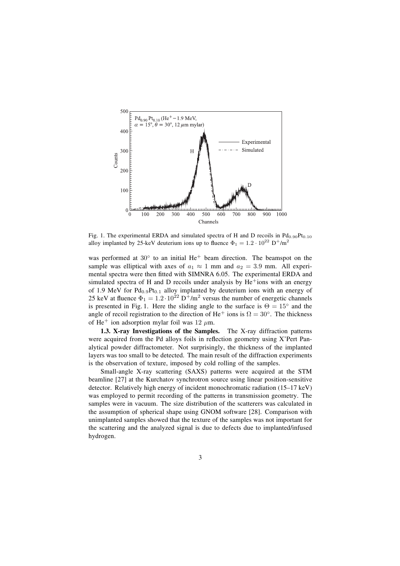

Fig. 1. The experimental ERDA and simulated spectra of H and D recoils in  $Pd_{0.90}Pt_{0.10}$ alloy implanted by 25-keV deuterium ions up to fluence  $\Phi_1 = 1.2 \cdot 10^{22} \text{ D}^+/\text{m}^2$ 

was performed at 30 $^{\circ}$  to an initial He<sup>+</sup> beam direction. The beamspot on the sample was elliptical with axes of  $a_1 \approx 1$  mm and  $a_2 = 3.9$  mm. All experimental spectra were then fitted with SIMNRA 6.05. The experimental ERDA and simulated spectra of H and D recoils under analysis by He<sup>+</sup>ions with an energy of 1.9 MeV for  $Pd_{0.9}Pt_{0.1}$  alloy implanted by deuterium ions with an energy of 25 keV at fluence  $\Phi_1 = 1.2 \cdot 10^{22} \text{ D}^{\frac{1}{2}}/\text{m}^2$  versus the number of energetic channels is presented in Fig. 1. Here the sliding angle to the surface is  $\Theta = 15^\circ$  and the angle of recoil registration to the direction of He<sup>+</sup> ions is  $\Omega = 30^{\circ}$ . The thickness of He<sup>+</sup> ion adsorption mylar foil was 12  $\mu$ m.

**1.3. X-ray Investigations of the Samples.** The X-ray diffraction patterns were acquired from the Pd alloys foils in reflection geometry using X'Pert Panalytical powder diffractometer. Not surprisingly, the thickness of the implanted layers was too small to be detected. The main result of the diffraction experiments is the observation of texture, imposed by cold rolling of the samples.

Small-angle X-ray scattering (SAXS) patterns were acquired at the STM beamline [27] at the Kurchatov synchrotron source using linear position-sensitive detector. Relatively high energy of incident monochromatic radiation  $(15-17 \text{ keV})$ was employed to permit recording of the patterns in transmission geometry. The samples were in vacuum. The size distribution of the scatterers was calculated in the assumption of spherical shape using GNOM software [28]. Comparison with unimplanted samples showed that the texture of the samples was not important for the scattering and the analyzed signal is due to defects due to implanted/infused hydrogen.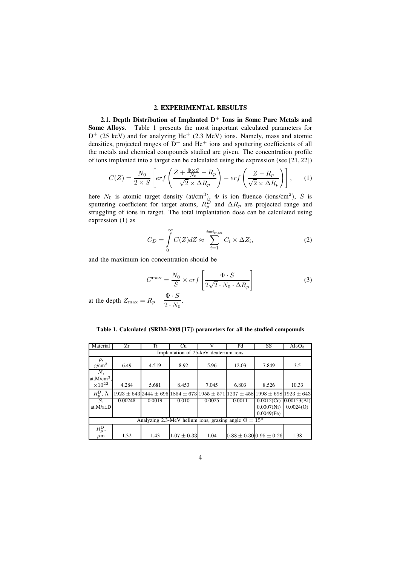### **2. EXPERIMENTAL RESULTS**

**2.1. Depth Distribution of Implanted D**<sup>+</sup> **Ions in Some Pure Metals and Some Alloys.** Table 1 presents the most important calculated parameters for  $D^+$  (25 keV) and for analyzing He<sup>+</sup> (2.3 MeV) ions. Namely, mass and atomic densities, projected ranges of  $D^+$  and He<sup>+</sup> ions and sputtering coefficients of all the metals and chemical compounds studied are given. The concentration profile of ions implanted into a target can be calculated using the expression (see [21, 22])

$$
C(Z) = \frac{N_0}{2 \times S} \left[ erf \left( \frac{Z + \frac{\Phi \times S}{N_0} - R_p}{\sqrt{2} \times \Delta R_p} \right) - erf \left( \frac{Z - R_p}{\sqrt{2} \times \Delta R_p} \right) \right], \quad (1)
$$

here  $N_0$  is atomic target density (at/cm<sup>3</sup>),  $\Phi$  is ion fluence (ions/cm<sup>2</sup>), S is sputtering coefficient for target atoms,  $R_p^D$  and  $\Delta R_p$  are projected range and struggling of ions in target. The total implantation dose can be calculated using expression (1) as

$$
C_D = \int_0^\infty C(Z) dZ \approx \sum_{i=1}^{i=i_{\text{max}}} C_i \times \Delta Z_i,
$$
 (2)

and the maximum ion concentration should be

$$
C^{\max} = \frac{N_0}{S} \times erf \left[ \frac{\Phi \cdot S}{2\sqrt{2} \cdot N_0 \cdot \Delta R_p} \right]
$$
 (3)

at the depth  $Z_{\text{max}} = R_p - \frac{\Phi \cdot S}{2 \cdot N_0}$ .

|  |  |  |  | Table 1. Calculated (SRIM-2008 [17]) parameters for all the studied compounds |  |  |  |  |
|--|--|--|--|-------------------------------------------------------------------------------|--|--|--|--|
|--|--|--|--|-------------------------------------------------------------------------------|--|--|--|--|

| Material                                                           | Zr      | Ti     | Cu              | V      | Pd                                                                                                             | SS            | $Al_2O_3$                     |  |
|--------------------------------------------------------------------|---------|--------|-----------------|--------|----------------------------------------------------------------------------------------------------------------|---------------|-------------------------------|--|
| Implantation of 25-keV deuterium ions                              |         |        |                 |        |                                                                                                                |               |                               |  |
| $\rho$ ,<br>g/cm <sup>3</sup>                                      | 6.49    | 4.519  | 8.92            | 5.96   | 12.03                                                                                                          | 7.849         | 3.5                           |  |
| N,<br>at. $M/cm3$ ,<br>$\times 10^{22}$                            | 4.284   | 5.681  | 8.453           | 7.045  | 6.803                                                                                                          | 8.526         | 10.33                         |  |
| $R_p^{\rm D}$ , $\rm \AA$                                          |         |        |                 |        | $1923 \pm 643$  2444 $\pm 695$  1854 $\pm 673$  1955 $\pm 571$  1237 $\pm 458$  1998 $\pm 698$  1923 $\pm 643$ |               |                               |  |
| $S$ .                                                              | 0.00248 | 0.0019 | 0.010           | 0.0025 | 0.0011                                                                                                         |               | $0.0012$ (Cr) $ 0.00153$ (Al) |  |
| at.M/at.D                                                          |         |        |                 |        |                                                                                                                | 0.0007(Ni)    | 0.0024(0)                     |  |
|                                                                    |         |        |                 |        |                                                                                                                | $0.0049$ (Fe) |                               |  |
| Analyzing 2.3-MeV helium ions, grazing angle $\Theta = 15^{\circ}$ |         |        |                 |        |                                                                                                                |               |                               |  |
| $R_p^{\rm D}$ ,                                                    |         |        |                 |        |                                                                                                                |               |                               |  |
| $\mu$ m                                                            | 1.32    | 1.43   | $1.07 \pm 0.33$ | 1.04   | $0.88 \pm 0.30 0.95 \pm 0.26$                                                                                  |               | 1.38                          |  |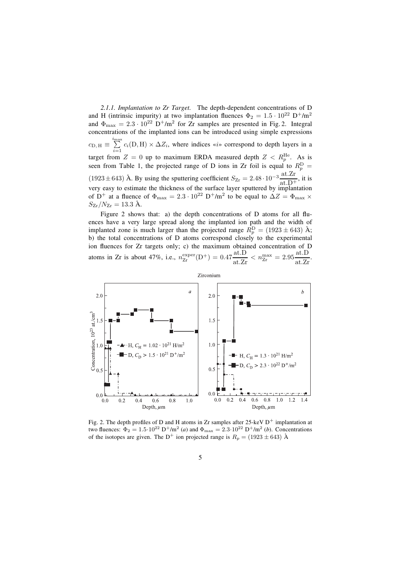*2.1.1. Implantation to Zr Target.* The depth-dependent concentrations of D and H (intrinsic impurity) at two implantation fluences  $\Phi_2 = 1.5 \cdot 10^{22} \text{ D}^+/\text{m}^2$ and  $\Phi_{\text{max}} = 2.3 \cdot 10^{22} \text{ D}^+/\text{m}^2$  for Zr samples are presented in Fig. 2. Integral concentrations of the implanted ions can be introduced using simple expressions  $c_{\text{D},\text{H}} \equiv \sum_{i=\infty}^{i_{\text{max}}} c_i(\text{D},\text{H}) \times \Delta Z_i$ , where indices «*i*» correspond to depth layers in a target from  $Z = 0$  up to maximum ERDA measured depth  $Z < R_p^{\text{He}}$ . As is seen from Table 1, the projected range of D ions in Zr foil is equal to  $R_p^D =$  $(1923 \pm 643)$  Å. By using the sputtering coefficient  $S_{Zr} = 2.48 \cdot 10^{-3} \frac{\text{at.} Zr}{\text{at.} D^+}$ , it is very easy to estimate the thickness of the surface layer sputtered by implantation of  $D^+$  at a fluence of  $\Phi_{\text{max}} = 2.3 \cdot 10^{22} D^+/\text{m}^2$  to be equal to  $\Delta Z = \Phi_{\text{max}} \times \Delta Z$  $S_{\rm Zr}/N_{\rm Zr} = 13.3 \text{ \AA}.$ 

Figure 2 shows that: a) the depth concentrations of  $D$  atoms for all fluences have a very large spread along the implanted ion path and the width of implanted zone is much larger than the projected range  $R_p^D = (1923 \pm 643)$  Å; b) the total concentrations of D atoms correspond closely to the experimental ion fluences for Zr targets only; c) the maximum obtained concentration of D atoms in Zr is about 47%, i.e.,  $n_{\text{Zr}}^{\text{exper}}(\text{D}^+) = 0.47 \frac{\text{at.} \text{D}}{\text{at.} \text{Zr}} < n_{\text{Zr}}^{\text{max}} = 2.95 \frac{\text{at.} \text{D}}{\text{at.} \text{Zr}}$ 



Fig. 2. The depth profiles of D and H atoms in Zr samples after 25-keV  $D^+$  implantation at two fluences:  $\Phi_2 = 1.5 \cdot 10^{22} \text{ D}^+/\text{m}^2$  (*a*) and  $\Phi_{\text{max}} = 2.3 \cdot 10^{22} \text{ D}^+/\text{m}^2$  (*b*). Concentrations of the isotopes are given. The D<sup>+</sup> ion projected range is  $R_p = (1923 \pm 643)$  Å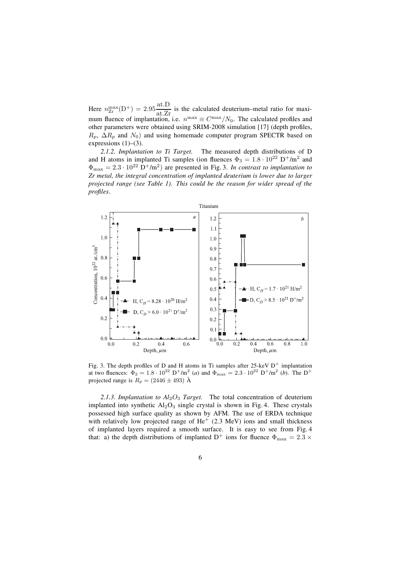Here  $n_{\text{Zr}}^{\text{max}}(D^+) = 2.95 \frac{\text{at.}D}{\text{at.}Zr}$  is the calculated deuterium–metal ratio for maximum fluence of implantation, i.e.  $n^{\max} \equiv C^{\max}/N_0$ . The calculated profiles and other parameters were obtained using SRIM-2008 simulation [17] (depth profiles,  $R_p$ ,  $\Delta R_p$  and  $N_0$ ) and using homemade computer program SPECTR based on expressions  $(1)$ – $(3)$ .

*2.1.2. Implantation to Ti Target.* The measured depth distributions of D and H atoms in implanted Ti samples (ion fluences  $\Phi_3 = 1.8 \cdot 10^{22} \text{ D}^+/\text{m}^2$  and  $\Phi_{\text{max}} = 2.3 \cdot 10^{22} \text{ D}^{+}/\text{m}^{2}$  are presented in Fig. 3. *In contrast to implantation to Zr metal, the integral concentration of implanted deuterium is lower due to larger projected range (see Table 1). This could be the reason for wider spread of the proˇles*.



Fig. 3. The depth profiles of D and H atoms in Ti samples after  $25$ -keV  $D^+$  implantation at two fluences:  $\Phi_2 = 1.8 \cdot 10^{22} \text{ D}^+/\text{m}^2$  (*a*) and  $\Phi_{\text{max}} = 2.3 \cdot 10^{22} \text{ D}^+/\text{m}^2$  (*b*). The D<sup>+</sup> projected range is  $R_p = (2446 \pm 493)$  Å

2.1.3. Implantation to  $Al_2O_3$  *Target*. The total concentration of deuterium implanted into synthetic  $A_2O_3$  single crystal is shown in Fig. 4. These crystals possessed high surface quality as shown by AFM. The use of ERDA technique with relatively low projected range of  $He<sup>+</sup>$  (2.3 MeV) ions and small thickness of implanted layers required a smooth surface. It is easy to see from Fig. 4 that: a) the depth distributions of implanted  $D^+$  ions for fluence  $\Phi_{\text{max}} = 2.3 \times$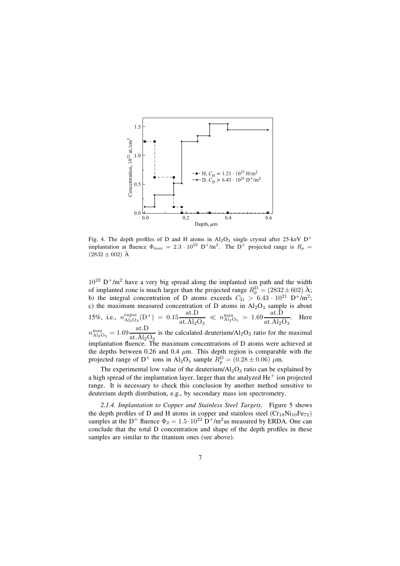

Fig. 4. The depth profiles of D and H atoms in  $Al_2O_3$  single crystal after 25-keV D<sup>+</sup> implantation at fluence  $\Phi_{\text{max}} = 2.3 \cdot 10^{22} \text{ D}^+/\text{m}^2$ . The D<sup>+</sup> projected range is  $R_p =$  $(2832 \pm 602)$  Å

 $10^{22}$  D<sup>+</sup>/m<sup>2</sup> have a very big spread along the implanted ion path and the width of implanted zone is much larger than the projected range  $R_p^D = (2832 \pm 602)$  Å; b) the integral concentration of D atoms exceeds  $C_D > 6.43 \cdot 10^{21} \text{ D}^+/\text{m}^2$ ; c) the maximum measured concentration of D atoms in  $Al_2O_3$  sample is about 15%, i.e.,  $n_{\text{Al}_2\text{O}_3}^{\text{exper}}(\text{D}^+) = 0.15 \frac{\text{at.}\text{D}}{\text{at.}\text{Al}_2\text{O}}$  $\frac{\text{at.D}}{\text{at.Al}_2\text{O}_3} \ll n_{\text{Al}_2\text{O}_3}^{\text{max}} = 1.69 \frac{\text{at.D}}{\text{at.Al}_2\text{O}_3}$  $\frac{\text{at. B}}{\text{at. } \text{Al}_2\text{O}_3}$ . Here  $n_{\text{Al}_2\text{O}_3}^{\text{max}} = 1.69 \frac{\text{at.D}}{\text{at. Al}_2\text{O}_3}$  is the calculated deuterium/Al<sub>2</sub>O<sub>3</sub> ratio for the maximal implantation fluence. The maximum concentrations of D atoms were achieved at the depths between 0.26 and 0.4  $\mu$ m. This depth region is comparable with the projected range of D<sup>+</sup> ions in Al<sub>2</sub>O<sub>3</sub> sample  $R_p^D = (0.28 \pm 0.06) \mu \text{m}$ .

The experimental low value of the deuterium/ $Al_2O_3$  ratio can be explained by a high spread of the implantation layer, larger than the analyzed  $He<sup>+</sup>$  ion projected range. It is necessary to check this conclusion by another method sensitive to deuterium depth distribution, e.g., by secondary mass ion spectrometry.

*2.1.4. Implantation to Copper and Stainless Steel Targets.* Figure 5 shows the depth profiles of D and H atoms in copper and stainless steel  $(Cr_{18}Ni_{10}Fe_{72})$ samples at the D<sup>+</sup> fluence  $\Phi_2 = 1.5 \cdot 10^{22} \text{ D}^+/\text{m}^2$  as measured by ERDA. One can conclude that the total D concentration and shape of the depth profiles in these samples are similar to the titanium ones (see above).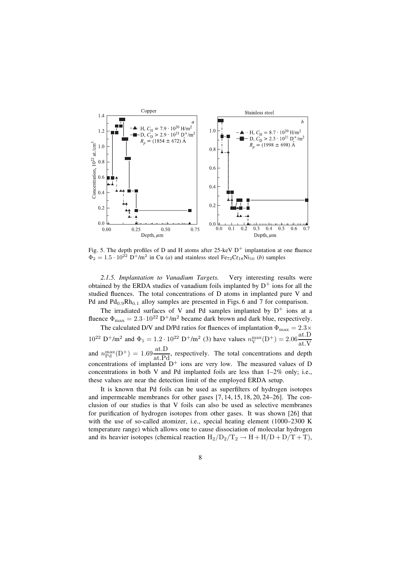

Fig. 5. The depth profiles of D and H atoms after 25-keV  $D^+$  implantation at one fluence  $\Phi_2 = 1.5 \cdot 10^{22} \text{ D}^+/\text{m}^2$  in Cu (*a*) and stainless steel Fe<sub>72</sub>Cr<sub>18</sub>Ni<sub>10</sub> (*b*) samples

*2.1.5. Implantation to Vanadium Targets.* Very interesting results were obtained by the ERDA studies of vanadium foils implanted by  $D^+$  ions for all the studied fluences. The total concentrations of D atoms in implanted pure V and Pd and  $Pd_{0.9}Rh_{0.1}$  alloy samples are presented in Figs. 6 and 7 for comparison.

The irradiated surfaces of V and Pd samples implanted by  $D^+$  ions at a fluence  $\Phi_{\text{max}} = 2.3 \cdot 10^{22} \text{ D}^{\text{+}}/\text{m}^2$  became dark brown and dark blue, respectively.

The calculated D/V and D/Pd ratios for fluences of implantation  $\Phi_{\text{max}} = 2.3 \times$  $10^{22} \text{ D}^{+}/\text{m}^{2}$  and  $\Phi_1 = 1.2 \cdot 10^{22} \text{ D}^{+}/\text{m}^{2}$  (3) have values  $n_{\text{V}}^{\text{max}}(\text{D}^{+})=2.06 \frac{\text{at.}\text{D}}{\text{at V}}$ at.V and  $n_{\text{Pd}}^{\text{max}}(\mathbf{D}^+) = 1.69 \frac{\text{at.}\mathbf{D}}{\text{at.}\mathbf{Pd}}$ , respectively. The total concentrations and depth concentrations of implanted  $D^+$  ions are very low. The measured values of D concentrations in both V and Pd implanted foils are less than  $1-2\%$  only; i.e., these values are near the detection limit of the employed ERDA setup.

It is known that Pd foils can be used as superfilters of hydrogen isotopes and impermeable membranes for other gases  $[7, 14, 15, 18, 20, 24–26]$ . The conclusion of our studies is that V foils can also be used as selective membranes for purification of hydrogen isotopes from other gases. It was shown [26] that with the use of so-called atomizer, i.e., special heating element  $(1000-2300 \text{ K})$ temperature range) which allows one to cause dissociation of molecular hydrogen and its heavier isotopes (chemical reaction  $H_2/D_2/T_2 \rightarrow H + H/D + D/T + T$ ),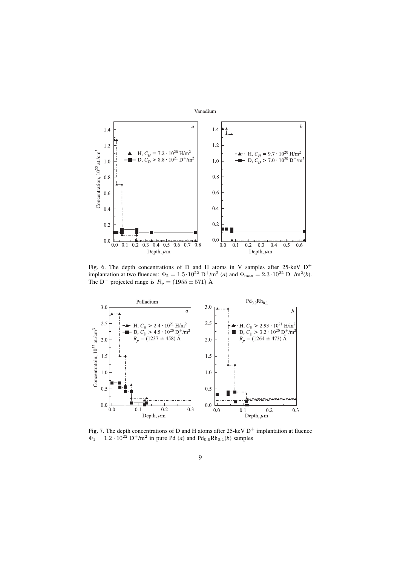

Fig. 6. The depth concentrations of D and H atoms in V samples after 25-keV  $D^+$ implantation at two fluences:  $\Phi_2 = 1.5 \cdot 10^{22} \text{ D}^+/\text{m}^2$  (*a*) and  $\Phi_{\text{max}} = 2.3 \cdot 10^{22} \text{ D}^+/\text{m}^2$  (*b*). The D<sup>+</sup> projected range is  $R_p = (1955 \pm 571)$  Å



Fig. 7. The depth concentrations of D and H atoms after 25-keV  $D^+$  implantation at fluence  $\Phi_1 = 1.2 \cdot 10^{22} \text{ D}^+/\text{m}^2$  in pure Pd (*a*) and Pd<sub>0.9</sub>Rh<sub>0.1</sub>(*b*) samples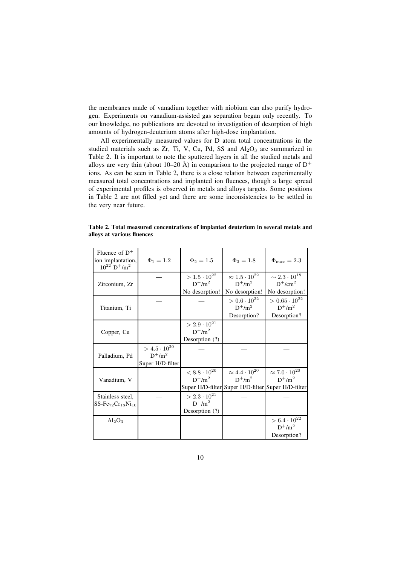the membranes made of vanadium together with niobium can also purify hydrogen. Experiments on vanadium-assisted gas separation began only recently. To our knowledge, no publications are devoted to investigation of desorption of high amounts of hydrogen-deuterium atoms after high-dose implantation.

All experimentally measured values for D atom total concentrations in the studied materials such as Zr, Ti, V, Cu, Pd, SS and  $Al_2O_3$  are summarized in Table 2. It is important to note the sputtered layers in all the studied metals and alloys are very thin (about 10–20 Å) in comparison to the projected range of  $D^+$ ions. As can be seen in Table 2, there is a close relation between experimentally measured total concentrations and implanted ion fluences, though a large spread of experimental profiles is observed in metals and alloys targets. Some positions in Table 2 are not filled yet and there are some inconsistencies to be settled in the very near future.

| Fluence of $D^+$<br>ion implantation,<br>$10^{22}$ D <sup>+</sup> /m <sup>2</sup> | $\Phi_1 = 1.2$        | $\Phi_2 = 1.5$        | $\Phi_3 = 1.8$                                     | $\Phi_{\rm max}=2.3$        |
|-----------------------------------------------------------------------------------|-----------------------|-----------------------|----------------------------------------------------|-----------------------------|
|                                                                                   |                       | $> 1.5 \cdot 10^{22}$ | $\approx 1.5 \cdot 10^{22}$                        | $\sim 2.3 \cdot 10^{18}$    |
| Zirconium, Zr                                                                     |                       | $D^{+}/m^{2}$         | $D^{+}/m^{2}$                                      | $D^{+}/cm^{2}$              |
|                                                                                   |                       | No desorption!        | No desorption!                                     | No desorption!              |
|                                                                                   |                       |                       | $> 0.6 \cdot 10^{22}$                              | $> 0.65 \cdot 10^{22}$      |
| Titanium, Ti                                                                      |                       |                       | $D^{+}/m^{2}$                                      | $D^{+}/m^{2}$               |
|                                                                                   |                       |                       | Desorption?                                        | Desorption?                 |
|                                                                                   |                       | $> 2.9 \cdot 10^{21}$ |                                                    |                             |
| Copper, Cu                                                                        |                       | $D^{+}/m^{2}$         |                                                    |                             |
|                                                                                   |                       | Desorption (?)        |                                                    |                             |
|                                                                                   | $> 4.5 \cdot 10^{20}$ |                       |                                                    |                             |
| Palladium, Pd                                                                     | $D^{+}/m^{2}$         |                       |                                                    |                             |
|                                                                                   | Super H/D-filter      |                       |                                                    |                             |
|                                                                                   |                       | $< 8.8 \cdot 10^{20}$ | $\approx 4.4 \cdot 10^{20}$                        | $\approx 7.0 \cdot 10^{20}$ |
| Vanadium, V                                                                       |                       | $D^{+}/m^{2}$         | $D^{+}/m^{2}$                                      | $D^{+}/m^{2}$               |
|                                                                                   |                       |                       | Super H/D-filter Super H/D-filter Super H/D-filter |                             |
| Stainless steel,                                                                  |                       | $> 2.3 \cdot 10^{21}$ |                                                    |                             |
| $SS\text{-}Fe_{72}Cr_{18}Ni_{10}$                                                 |                       | $D^{+}/m^{2}$         |                                                    |                             |
|                                                                                   |                       | Desorption (?)        |                                                    |                             |
| $Al_2O_3$                                                                         |                       |                       |                                                    | $> 6.4 \cdot 10^{22}$       |
|                                                                                   |                       |                       |                                                    | $D^{+}/m^{2}$               |
|                                                                                   |                       |                       |                                                    | Desorption?                 |

**Table 2. Total measured concentrations of implanted deuterium in several metals and** alloys at various fluences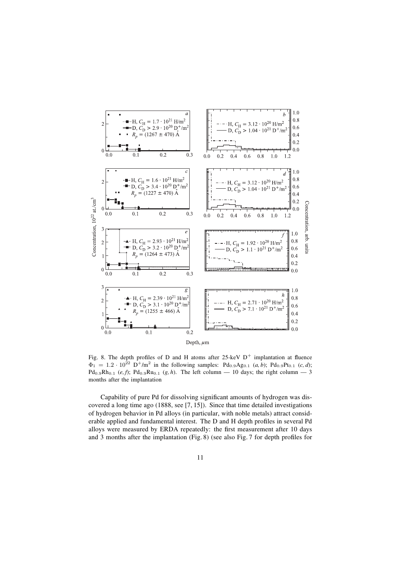

Fig. 8. The depth profiles of D and H atoms after 25-keV  $D^+$  implantation at fluence  $\Phi_1 = 1.2 \cdot 10^{22} \text{ D}^+/\text{m}^2$  in the following samples: Pd<sub>0.9</sub>Ag<sub>0.1</sub> (*a, b*); Pd<sub>0.9</sub>Pt<sub>0.1</sub> (*c, d*);  $Pd_{0.9}Rh_{0.1}$  (*e, f*);  $Pd_{0.9}Ru_{0.1}$  (*g, h*). The left column — 10 days; the right column — 3 months after the implantation

Capability of pure Pd for dissolving significant amounts of hydrogen was discovered a long time ago (1888, see [7, 15]). Since that time detailed investigations of hydrogen behavior in Pd alloys (in particular, with noble metals) attract considerable applied and fundamental interest. The D and H depth profiles in several Pd alloys were measured by ERDA repeatedly: the first measurement after 10 days and 3 months after the implantation (Fig. 8) (see also Fig. 7 for depth profiles for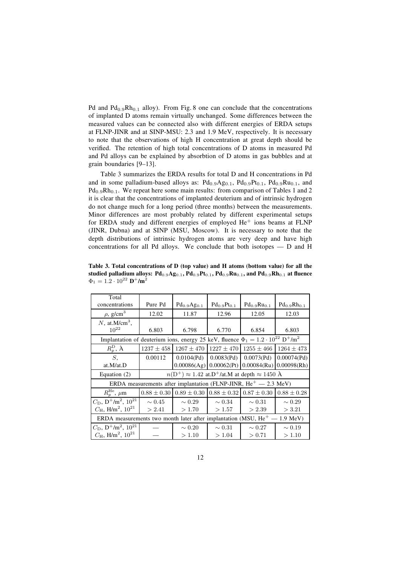Pd and  $Pd_{0.9}Rh_{0.1}$  alloy). From Fig. 8 one can conclude that the concentrations of implanted D atoms remain virtually unchanged. Some differences between the measured values can be connected also with different energies of ERDA setups at FLNP-JINR and at SINP-MSU: 2.3 and 1.9 MeV, respectively. It is necessary to note that the observations of high H concentration at great depth should be verified. The retention of high total concentrations of D atoms in measured Pd and Pd alloys can be explained by absorbtion of D atoms in gas bubbles and at grain boundaries  $[9-13]$ .

Table 3 summarizes the ERDA results for total D and H concentrations in Pd and in some palladium-based alloys as:  $Pd_{0.9}Ag_{0.1}$ ,  $Pd_{0.9}Pt_{0.1}$ ,  $Pd_{0.9}Ru_{0.1}$ , and  $Pd_{0.9}Rh_{0.1}$ . We repeat here some main results: from comparison of Tables 1 and 2 it is clear that the concentrations of implanted deuterium and of intrinsic hydrogen do not change much for a long period (three months) between the measurements. Minor differences are most probably related by different experimental setups for ERDA study and different energies of employed  $He<sup>+</sup>$  ions beams at FLNP (JINR, Dubna) and at SINP (MSU, Moscow). It is necessary to note that the depth distributions of intrinsic hydrogen atoms are very deep and have high concentrations for all Pd alloys. We conclude that both isotopes  $\overline{\phantom{a}}$  D and H

|                                                     | Table 3. Total concentrations of D (top value) and H atoms (bottom value) for all the                                      |  |
|-----------------------------------------------------|----------------------------------------------------------------------------------------------------------------------------|--|
|                                                     | studied palladium alloys: $Pd_{0.9}Ag_{0.1}$ , $Pd_{0.9}Pt_{0.1}$ , $Pd_{0.9}Ru_{0.1}$ , and $Pd_{0.9}Rh_{0.1}$ at fluence |  |
| $\Phi_1 = 1.2 \cdot 10^{22} \text{ D}^+/\text{m}^2$ |                                                                                                                            |  |

| Total                                                                                                      |                                                                         |                           |                    |                    |                               |  |  |
|------------------------------------------------------------------------------------------------------------|-------------------------------------------------------------------------|---------------------------|--------------------|--------------------|-------------------------------|--|--|
| concentrations                                                                                             | Pure Pd                                                                 | $Pd_{0.9}Ag_{0.1}$        | $Pd_{0.9}Pt_{0.1}$ | $Pd_{0.9}Ru_{0.1}$ | $Pd_{0.9}Rh_{0.1}$            |  |  |
| $\rho$ , g/cm <sup>3</sup>                                                                                 | 12.02                                                                   | 11.87                     | 12.96              | 12.05              | 12.03                         |  |  |
| $N$ , at. $M/cm3$ ,                                                                                        |                                                                         |                           |                    |                    |                               |  |  |
| $10^{22}$                                                                                                  | 6.803                                                                   | 6.798                     | 6.770              | 6.854              | 6.803                         |  |  |
| Implantation of deuterium ions, energy 25 keV, fluence $\Phi_1 = 1.2 \cdot 10^{22} \text{ D}^+/\text{m}^2$ |                                                                         |                           |                    |                    |                               |  |  |
| $R_p^{\rm D}$ , $\rm \AA$                                                                                  | $1237 \pm 458$                                                          | $1267 \pm 470$            | $1227 \pm 470$     | $1255 \pm 466$     | $1264 \pm 473$                |  |  |
| $S_{\star}$                                                                                                | 0.00112                                                                 | 0.0104(Pd)                | 0.0083(Pd)         | 0.0073(Pd)         | $0.00074($ Pd $)$             |  |  |
| at.M/at.D                                                                                                  |                                                                         | $0.00086(Ag)$ 0.00062(Pt) |                    |                    | $0.00084$ (Ru) $0.00098$ (Rh) |  |  |
| Equation $(2)$                                                                                             | $n(D^+) \approx 1.42$ at D <sup>+</sup> /at M at depth $\approx 1450$ Å |                           |                    |                    |                               |  |  |
| ERDA measurements after implantation (FLNP-JINR, $He+$ - 2.3 MeV)                                          |                                                                         |                           |                    |                    |                               |  |  |
| $R_p^{\text{He}}$ , $\mu$ m                                                                                | $0.88 \pm 0.30$                                                         | $0.89 \pm 0.30$           | $0.88 \pm 0.32$    | $0.87 \pm 0.30$    | $0.88 \pm 0.28$               |  |  |
| $C_D, D^{+}/m^2, 10^{21}$                                                                                  | $\sim 0.45$                                                             | $\sim 0.29$               | $\sim 0.34$        | $\sim 0.31$        | $\sim 0.29$                   |  |  |
| $C_{\rm H}$ , H/m <sup>2</sup> , $10^{21}$                                                                 | > 2.41                                                                  | >1.70                     | >1.57              | > 2.39             | $>$ 3.21                      |  |  |
| ERDA measurements two month later after implantation (MSU, $He+$<br>$1.9 \text{ MeV}$                      |                                                                         |                           |                    |                    |                               |  |  |
| $C_D$ , $D^{\dagger}/m^2$ , $10^{21}$                                                                      |                                                                         | $\sim 0.20$               | $\sim 0.31$        | $\sim 0.27$        | $\sim 0.19$                   |  |  |
| $C_{\rm H}$ , H/m <sup>2</sup> , $10^{21}$                                                                 |                                                                         | >1.10                     | >1.04              | > 0.71             | >1.10                         |  |  |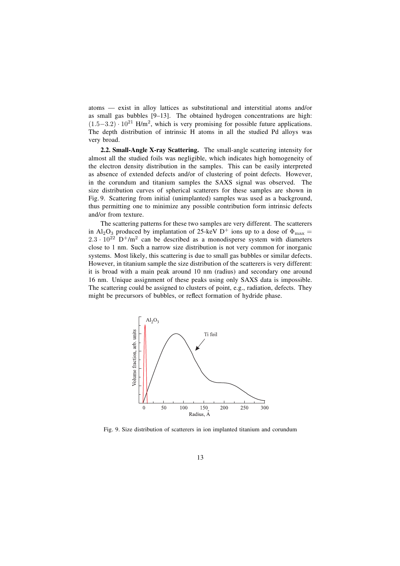atoms — exist in alloy lattices as substitutional and interstitial atoms and/or as small gas bubbles  $[9-13]$ . The obtained hydrogen concentrations are high:  $(1.5-3.2)$  ·  $10^{21}$  H/m<sup>2</sup>, which is very promising for possible future applications. The depth distribution of intrinsic H atoms in all the studied Pd alloys was very broad.

**2.2. Small-Angle X-ray Scattering.** The small-angle scattering intensity for almost all the studied foils was negligible, which indicates high homogeneity of the electron density distribution in the samples. This can be easily interpreted as absence of extended defects and/or of clustering of point defects. However, in the corundum and titanium samples the SAXS signal was observed. The size distribution curves of spherical scatterers for these samples are shown in Fig. 9. Scattering from initial (unimplanted) samples was used as a background, thus permitting one to minimize any possible contribution form intrinsic defects and/or from texture.

The scattering patterns for these two samples are very different. The scatterers in Al<sub>2</sub>O<sub>3</sub> produced by implantation of 25-keV D<sup>+</sup> ions up to a dose of  $\Phi_{\text{max}} =$  $2.3 \cdot 10^{22}$  D<sup>+</sup>/m<sup>2</sup> can be described as a monodisperse system with diameters close to 1 nm. Such a narrow size distribution is not very common for inorganic systems. Most likely, this scattering is due to small gas bubbles or similar defects. However, in titanium sample the size distribution of the scatterers is very different: it is broad with a main peak around 10 nm (radius) and secondary one around 16 nm. Unique assignment of these peaks using only SAXS data is impossible. The scattering could be assigned to clusters of point, e.g., radiation, defects. They might be precursors of bubbles, or reflect formation of hydride phase.



Fig. 9. Size distribution of scatterers in ion implanted titanium and corundum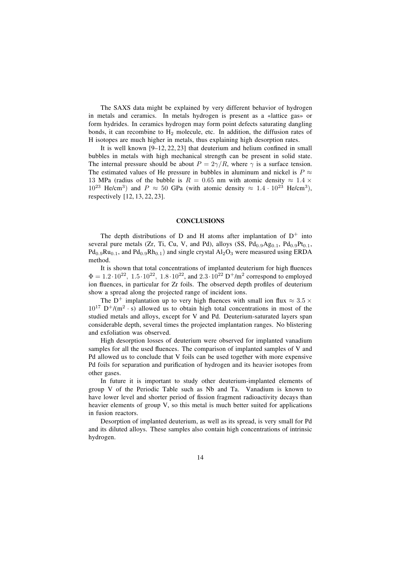The SAXS data might be explained by very different behavior of hydrogen in metals and ceramics. In metals hydrogen is present as a «lattice gas» or form hydrides. In ceramics hydrogen may form point defects saturating dangling bonds, it can recombine to  $H_2$  molecule, etc. In addition, the diffusion rates of H isotopes are much higher in metals, thus explaining high desorption rates.

It is well known  $[9-12, 22, 23]$  that deuterium and helium confined in small bubbles in metals with high mechanical strength can be present in solid state. The internal pressure should be about  $P = 2\gamma/R$ , where  $\gamma$  is a surface tension. The estimated values of He pressure in bubbles in aluminum and nickel is  $P \approx$ 13 MPa (radius of the bubble is  $R = 0.65$  nm with atomic density  $\approx 1.4 \times$  $10^{23}$  He/cm<sup>3</sup>) and P  $\approx$  50 GPa (with atomic density  $\approx 1.4 \cdot 10^{23}$  He/cm<sup>3</sup>). respectively [12, 13, 22, 23].

#### **CONCLUSIONS**

The depth distributions of D and H atoms after implantation of  $D^+$  into several pure metals (Zr, Ti, Cu, V, and Pd), alloys (SS,  $Pd_{0.9}Ag_{0.1}$ ,  $Pd_{0.9}Pt_{0.1}$ ,  $Pd_{0.9}Ru_{0.1}$ , and  $Pd_{0.9}Rh_{0.1}$ ) and single crystal  $Al_2O_3$  were measured using ERDA method.

It is shown that total concentrations of implanted deuterium for high fluences  $\Phi = 1.2 \cdot 10^{22}$ ,  $1.5 \cdot 10^{22}$ ,  $1.8 \cdot 10^{22}$ , and  $2.3 \cdot 10^{22}$  D<sup>+</sup>/m<sup>2</sup> correspond to employed ion fluences, in particular for Zr foils. The observed depth profiles of deuterium show a spread along the projected range of incident ions.

The D<sup>+</sup> implantation up to very high fluences with small ion flux  $\approx 3.5 \times$  $10^{17}$  D<sup>+</sup>/(m<sup>2</sup> · s) allowed us to obtain high total concentrations in most of the studied metals and alloys, except for V and Pd. Deuterium-saturated layers span considerable depth, several times the projected implantation ranges. No blistering and exfoliation was observed.

High desorption losses of deuterium were observed for implanted vanadium samples for all the used fluences. The comparison of implanted samples of V and Pd allowed us to conclude that V foils can be used together with more expensive Pd foils for separation and purification of hydrogen and its heavier isotopes from other gases.

In future it is important to study other deuterium-implanted elements of group V of the Periodic Table such as Nb and Ta. Vanadium is known to have lower level and shorter period of fission fragment radioactivity decays than heavier elements of group V, so this metal is much better suited for applications in fusion reactors.

Desorption of implanted deuterium, as well as its spread, is very small for Pd and its diluted alloys. These samples also contain high concentrations of intrinsic hydrogen.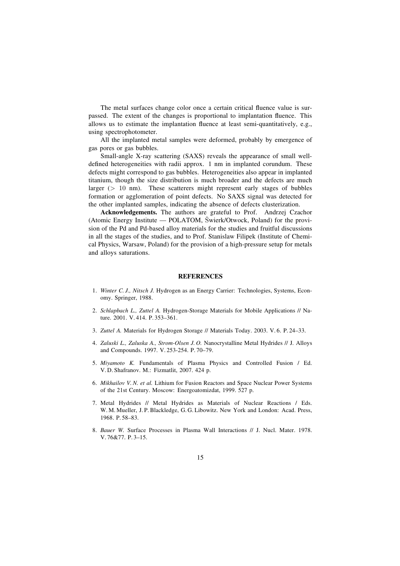The metal surfaces change color once a certain critical fluence value is surpassed. The extent of the changes is proportional to implantation fluence. This allows us to estimate the implantation fluence at least semi-quantitatively, e.g., using spectrophotometer.

All the implanted metal samples were deformed, probably by emergence of gas pores or gas bubbles.

Small-angle X-ray scattering (SAXS) reveals the appearance of small welldefined heterogeneities with radii approx. 1 nm in implanted corundum. These defects might correspond to gas bubbles. Heterogeneities also appear in implanted titanium, though the size distribution is much broader and the defects are much larger ( $> 10$  nm). These scatterers might represent early stages of bubbles formation or agglomeration of point defects. No SAXS signal was detected for the other implanted samples, indicating the absence of defects clusterization.

**Acknowledgements.** The authors are grateful to Prof. Andrzej Czachor (Atomic Energy Institute — POLATOM, Šwierk/Otwock, Poland) for the provision of the Pd and Pd-based alloy materials for the studies and fruitful discussions in all the stages of the studies, and to Prof. Stanislaw Filipek (Institute of Chemical Physics, Warsaw, Poland) for the provision of a high-pressure setup for metals and alloys saturations.

# **REFERENCES**

- 1. *Winter C. J., Nitsch J.* Hydrogen as an Energy Carrier: Technologies, Systems, Economy. Springer, 1988.
- 2. *Schlapbach L., Zuttel A.* Hydrogen-Storage Materials for Mobile Applications // Nature. 2001. V. 414. P. 353-361.
- 3. *Zuttel A. Materials for Hydrogen Storage // Materials Today. 2003. V.6. P.24-33.*
- 4. *Zaluski L., Zaluska A., Strom-Olsen J. O.* Nanocrystalline Metal Hydrides // J. Alloys and Compounds. 1997. V. 253-254. P. 70-79.
- 5. *Miyamoto K.* Fundamentals of Plasma Physics and Controlled Fusion / Ed. V. D. Shafranov. M.: Fizmatlit, 2007. 424 p.
- 6. *Mikhailov V. N. et al.* Lithium for Fusion Reactors and Space Nuclear Power Systems of the 21st Century. Moscow: Energoatomizdat, 1999. 527 p.
- 7. Metal Hydrides // Metal Hydrides as Materials of Nuclear Reactions / Eds. W. M. Mueller, J. P. Blackledge, G. G. Libowitz. New York and London: Acad. Press, 1968. P. 58-83.
- 8. *Bauer W.* Surface Processes in Plasma Wall Interactions // J. Nucl. Mater. 1978. V. 76&77. P. 3-15.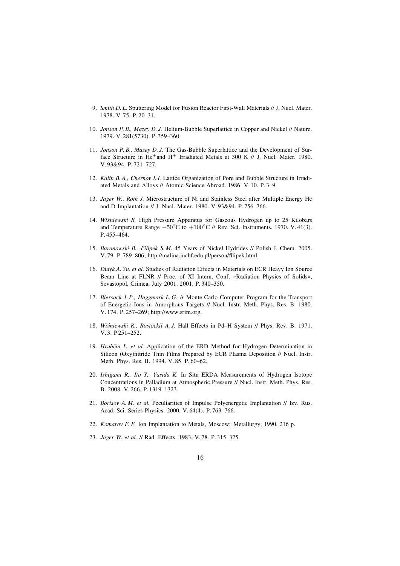- 9. *Smith D. L.* Sputtering Model for Fusion Reactor First-Wall Materials // J. Nucl. Mater.  $1978. V. 75. P. 20-31.$
- 10. *Jonson P. B., Mazey D. J.* Helium-Bubble Superlattice in Copper and Nickel // Nature. 1979. V. 281(5730). P. 359-360.
- 11. *Jonson P. B., Mazey D. J.* The Gas-Bubble Superlattice and the Development of Surface Structure in He<sup>+</sup>and H<sup>+</sup> Irradiated Metals at 300 K // J. Nucl. Mater. 1980. V. 93&94. P. 721-727.
- 12. *Kalin B. A., Chernov I. I.* Lattice Organization of Pore and Bubble Structure in Irradiated Metals and Alloys // Atomic Science Abroad. 1986. V. 10. P. 3-9.
- 13. *Jager W., Roth J.* Microstructure of Ni and Stainless Steel after Multiple Energy He and D Implantation // J. Nucl. Mater. 1980. V. 93&94. P. 756-766.
- 14. *Wiśniewski R.* High Pressure Apparatus for Gaseous Hydrogen up to 25 Kilobars and Temperature Range  $-50^{\circ}$ C to  $+100^{\circ}$ C // Rev. Sci. Instruments. 1970. V. 41(3). P. 455-464.
- 15. *Baranowski B., Filipek S. M.* 45 Years of Nickel Hydrides // Polish J. Chem. 2005. V. 79. P. 789-806; http://malina.inchf.edu.pl/person/filipek.html.
- 16. *Didyk A. Yu. et al.* Studies of Radiation Effects in Materials on ECR Heavy Ion Source Beam Line at FLNR // Proc. of XI Intern. Conf. «Radiation Physics of Solids», Sevastopol, Crimea, July 2001. 2001. P. 340-350.
- 17. *Biersack J. P., Haggmark L. G.* A Monte Carlo Computer Program for the Transport of Energetic Ions in Amorphous Targets // Nucl. Instr. Meth. Phys. Res. B. 1980. V. 174. P. 257-269; http://www.srim.org.
- 18. *Wiśniewski R., Rostockil A. J.* Hall Effects in Pd-H System // Phys. Rev. B. 1971. V. 3. P 251-252.
- 19. *Hrubčin L. et al.* Application of the ERD Method for Hydrogen Determination in Silicon (Oxy)nitride Thin Films Prepared by ECR Plasma Deposition // Nucl. Instr. Meth. Phys. Res. B. 1994. V. 85. P. 60-62.
- 20. *Ishigami R., Ito Y., Yasida K.* In Situ ERDA Measurements of Hydrogen Isotope Concentrations in Palladium at Atmospheric Pressure // Nucl. Instr. Meth. Phys. Res. B. 2008. V. 266. P. 1319-1323.
- 21. *Borisov A. M. et al.* Peculiarities of Impulse Polyenergetic Implantation // Izv. Rus. Acad. Sci. Series Physics. 2000. V. 64(4). P. 763-766.
- 22. *Komarov F. F.* Ion Implantation to Metals, Moscow: Metallurgy, 1990. 216 p.
- 23. *Jager W. et al.* // Rad. Effects. 1983. V.78. P.315-325.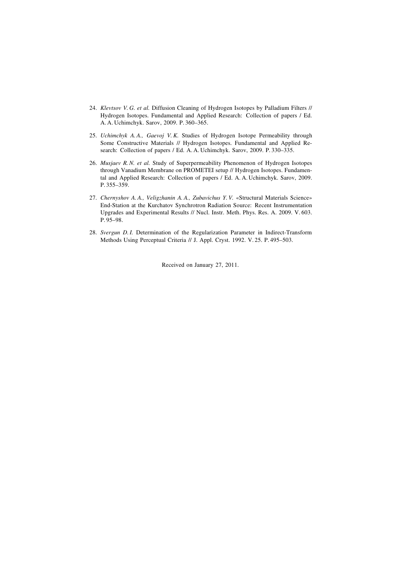- 24. *Klevtsov V. G. et al.* Diffusion Cleaning of Hydrogen Isotopes by Palladium Filters // Hydrogen Isotopes. Fundamental and Applied Research: Collection of papers / Ed. A. A. Uchimchyk. Sarov, 2009. P. 360-365.
- 25. *Uchimchyk A. A., Gaevoj V. K.* Studies of Hydrogen Isotope Permeability through Some Constructive Materials // Hydrogen Isotopes. Fundamental and Applied Research: Collection of papers / Ed. A. A. Uchimchyk. Sarov, 2009. P. 330-335.
- 26. *Musjaev R. N. et al.* Study of Superpermeability Phenomenon of Hydrogen Isotopes through Vanadium Membrane on PROMETEI setup // Hydrogen Isotopes. Fundamental and Applied Research: Collection of papers / Ed. A. A. Uchimchyk. Sarov, 2009. P. 355-359.
- 27. *Chernyshov A. A., Veligzhanin A. A., Zubavichus Y. V.* «Structural Materials Science» End-Station at the Kurchatov Synchrotron Radiation Source: Recent Instrumentation Upgrades and Experimental Results // Nucl. Instr. Meth. Phys. Res. A. 2009. V. 603.  $P.95 - 98.$
- 28. *Svergun D. I.* Determination of the Regularization Parameter in Indirect-Transform Methods Using Perceptual Criteria // J. Appl. Cryst. 1992. V. 25. P. 495-503.

Received on January 27, 2011.